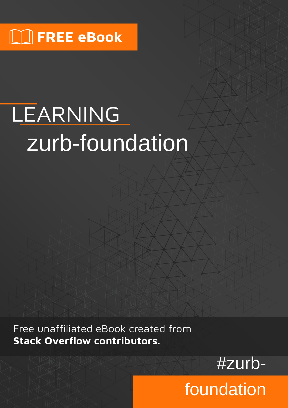# LEARNING zurb-foundation

Free unaffiliated eBook created from **Stack Overflow contributors.** 



foundation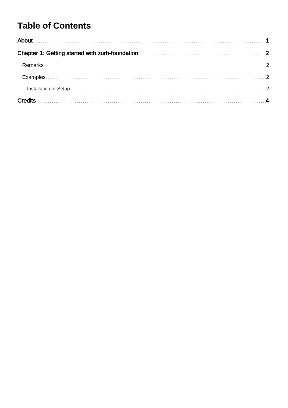## **Table of Contents**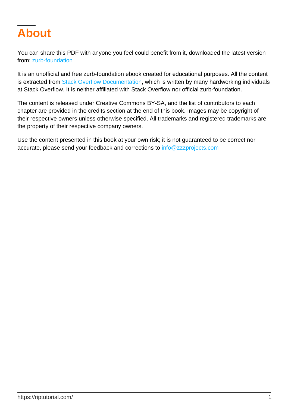<span id="page-2-0"></span>

You can share this PDF with anyone you feel could benefit from it, downloaded the latest version from: [zurb-foundation](http://riptutorial.com/ebook/zurb-foundation)

It is an unofficial and free zurb-foundation ebook created for educational purposes. All the content is extracted from [Stack Overflow Documentation,](https://archive.org/details/documentation-dump.7z) which is written by many hardworking individuals at Stack Overflow. It is neither affiliated with Stack Overflow nor official zurb-foundation.

The content is released under Creative Commons BY-SA, and the list of contributors to each chapter are provided in the credits section at the end of this book. Images may be copyright of their respective owners unless otherwise specified. All trademarks and registered trademarks are the property of their respective company owners.

Use the content presented in this book at your own risk; it is not guaranteed to be correct nor accurate, please send your feedback and corrections to [info@zzzprojects.com](mailto:info@zzzprojects.com)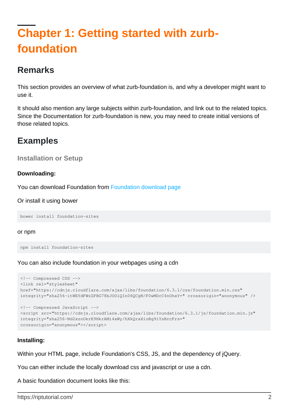# <span id="page-3-0"></span>**Chapter 1: Getting started with zurbfoundation**

## <span id="page-3-1"></span>**Remarks**

This section provides an overview of what zurb-foundation is, and why a developer might want to use it.

It should also mention any large subjects within zurb-foundation, and link out to the related topics. Since the Documentation for zurb-foundation is new, you may need to create initial versions of those related topics.

## <span id="page-3-2"></span>**Examples**

```
Installation or Setup
```
#### **Downloading:**

You can download Foundation from [Foundation download page](http://foundation.zurb.com/sites/download.html)

Or install it using bower

bower install foundation-sites

#### or npm

```
npm install foundation-sites
```
You can also include foundation in your webpages using a cdn

```
<!-- Compressed CSS -->
<link rel="stylesheet"
href="https://cdnjs.cloudflare.com/ajax/libs/foundation/6.3.1/css/foundation.min.css"
integrity="sha256-itWEYdFWzZPBG78bJOOiQIn06QCgN/F0wMDcC4nOhxY=" crossorigin="anonymous" />
<!-- Compressed JavaScript -->
<script src="https://cdnjs.cloudflare.com/ajax/libs/foundation/6.3.1/js/foundation.min.js"
integrity="sha256-Nd2xznOkrE9HkrAMi4xWy/hXkQraXioBg9iYsBrcFrs="
crossorigin="anonymous"></script>
```
#### **Installing:**

Within your HTML page, include Foundation's CSS, JS, and the dependency of jQuery.

You can either include the locally download css and javascript or use a cdn.

A basic foundation document looks like this: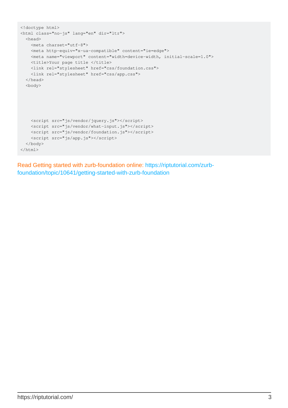```
<!doctype html>
<html class="no-js" lang="en" dir="ltr">
  <head>
    <meta charset="utf-8">
    <meta http-equiv="x-ua-compatible" content="ie=edge">
    <meta name="viewport" content="width=device-width, initial-scale=1.0">
    <title>Your page title </title>
    <link rel="stylesheet" href="css/foundation.css">
    <link rel="stylesheet" href="css/app.css">
   </head>
   <body>
    <script src="js/vendor/jquery.js"></script>
    <script src="js/vendor/what-input.js"></script>
    <script src="js/vendor/foundation.js"></script>
    <script src="js/app.js"></script>
   </body>
</html>
```
Read Getting started with zurb-foundation online: [https://riptutorial.com/zurb](https://riptutorial.com/zurb-foundation/topic/10641/getting-started-with-zurb-foundation)[foundation/topic/10641/getting-started-with-zurb-foundation](https://riptutorial.com/zurb-foundation/topic/10641/getting-started-with-zurb-foundation)